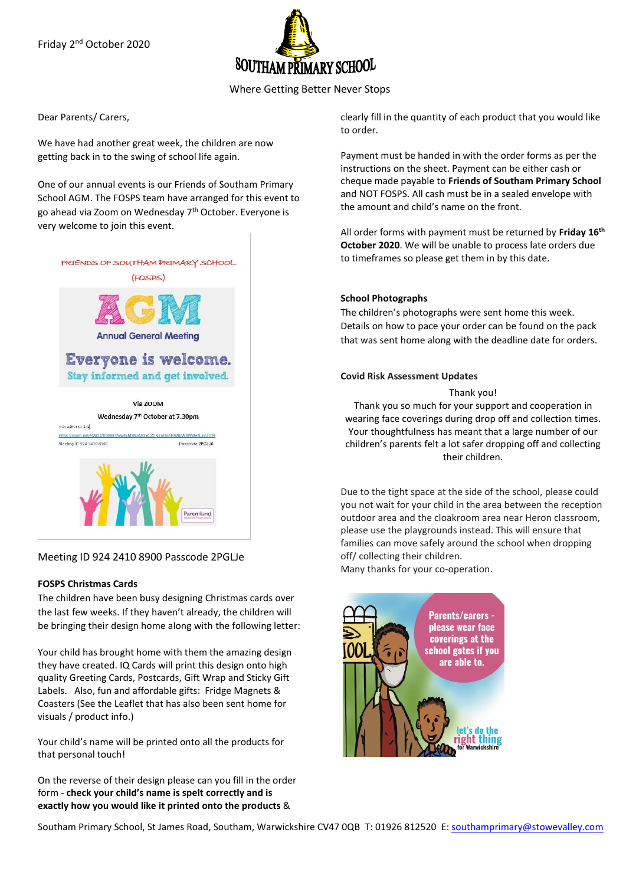Friday 2<sup>nd</sup> October 2020



Where Getting Better Never Stops

Dear Parents/ Carers,

We have had another great week, the children are now getting back in to the swing of school life again.

One of our annual events is our Friends of Southam Primary School AGM. The FOSPS team have arranged for this event to go ahead via Zoom on Wednesday 7th October. Everyone is very welcome to join this event.

# FRIENDS OF SOUTHAM PRIMARY SCHOOL



# Everyone is welcome. Stay informed and get involved.

Via 700M



Meeting ID 924 2410 8900 Passcode 2PGLJe

#### **FOSPS Christmas Cards**

The children have been busy designing Christmas cards over the last few weeks. If they haven't already, the children will be bringing their design home along with the following letter:

Your child has brought home with them the amazing design they have created. IQ Cards will print this design onto high quality Greeting Cards, Postcards, Gift Wrap and Sticky Gift Labels. Also, fun and affordable gifts: Fridge Magnets & Coasters (See the Leaflet that has also been sent home for visuals / product info.)

Your child's name will be printed onto all the products for that personal touch!

On the reverse of their design please can you fill in the order form - **check your child's name is spelt correctly and is exactly how you would like it printed onto the products** &

clearly fill in the quantity of each product that you would like to order.

Payment must be handed in with the order forms as per the instructions on the sheet. Payment can be either cash or cheque made payable to **Friends of Southam Primary School** and NOT FOSPS. All cash must be in a sealed envelope with the amount and child's name on the front.

All order forms with payment must be returned by **Friday 16th October 2020**. We will be unable to process late orders due to timeframes so please get them in by this date.

#### **School Photographs**

The children's photographs were sent home this week. Details on how to pace your order can be found on the pack that was sent home along with the deadline date for orders.

#### **Covid Risk Assessment Updates**

#### Thank you!

Thank you so much for your support and cooperation in wearing face coverings during drop off and collection times. Your thoughtfulness has meant that a large number of our children's parents felt a lot safer dropping off and collecting their children.

Due to the tight space at the side of the school, please could you not wait for your child in the area between the reception outdoor area and the cloakroom area near Heron classroom, please use the playgrounds instead. This will ensure that families can move safely around the school when dropping off/ collecting their children.

Many thanks for your co-operation.